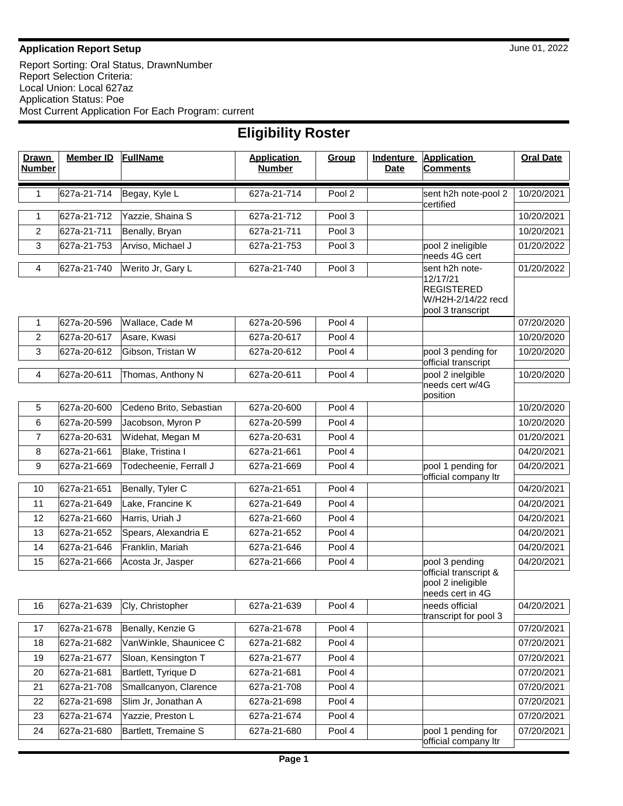## **Application Report Setup** June 01, 2022

Report Sorting: Oral Status, DrawnNumber Report Selection Criteria: Local Union: Local 627az Application Status: Poe Most Current Application For Each Program: current

| <b>Eligibility Roster</b>     |                  |                         |                                     |        |                          |                                                                |                  |  |  |  |  |
|-------------------------------|------------------|-------------------------|-------------------------------------|--------|--------------------------|----------------------------------------------------------------|------------------|--|--|--|--|
| <b>Drawn</b><br><b>Number</b> | <b>Member ID</b> | <b>FullName</b>         | <b>Application</b><br><b>Number</b> | Group  | Indenture<br><b>Date</b> | <b>Application</b><br><b>Comments</b>                          | <b>Oral Date</b> |  |  |  |  |
| 1                             | 627a-21-714      | Begay, Kyle L           | 627a-21-714                         | Pool 2 |                          | sent h2h note-pool 2<br>certified                              | 10/20/2021       |  |  |  |  |
| 1                             | 627a-21-712      | Yazzie, Shaina S        | 627a-21-712                         | Pool 3 |                          |                                                                | 10/20/2021       |  |  |  |  |
| $\overline{2}$                | 627a-21-711      | Benally, Bryan          | 627a-21-711                         | Pool 3 |                          |                                                                | 10/20/2021       |  |  |  |  |
| 3                             | 627a-21-753      | Arviso, Michael J       | 627a-21-753                         | Pool 3 |                          | pool 2 ineligible<br>needs 4G cert                             | 01/20/2022       |  |  |  |  |
| 4                             | 627a-21-740      | Werito Jr, Gary L       | 627a-21-740                         | Pool 3 |                          | sent h2h note-<br>12/17/21<br><b>REGISTERED</b>                | 01/20/2022       |  |  |  |  |
|                               |                  |                         |                                     |        |                          | W/H2H-2/14/22 recd<br>pool 3 transcript                        |                  |  |  |  |  |
| 1                             | 627a-20-596      | Wallace, Cade M         | 627a-20-596                         | Pool 4 |                          |                                                                | 07/20/2020       |  |  |  |  |
| $\overline{2}$                | 627a-20-617      | Asare, Kwasi            | 627a-20-617                         | Pool 4 |                          |                                                                | 10/20/2020       |  |  |  |  |
| 3                             | 627a-20-612      | Gibson, Tristan W       | 627a-20-612                         | Pool 4 |                          | pool 3 pending for<br>official transcript                      | 10/20/2020       |  |  |  |  |
| 4                             | 627a-20-611      | Thomas, Anthony N       | 627a-20-611                         | Pool 4 |                          | pool 2 inelgible<br>needs cert w/4G<br>position                | 10/20/2020       |  |  |  |  |
| 5                             | 627a-20-600      | Cedeno Brito, Sebastian | 627a-20-600                         | Pool 4 |                          |                                                                | 10/20/2020       |  |  |  |  |
| 6                             | 627a-20-599      | Jacobson, Myron P       | 627a-20-599                         | Pool 4 |                          |                                                                | 10/20/2020       |  |  |  |  |
| $\overline{7}$                | 627a-20-631      | Widehat, Megan M        | 627a-20-631                         | Pool 4 |                          |                                                                | 01/20/2021       |  |  |  |  |
| 8                             | 627a-21-661      | Blake, Tristina I       | 627a-21-661                         | Pool 4 |                          |                                                                | 04/20/2021       |  |  |  |  |
| 9                             | 627a-21-669      | Todecheenie, Ferrall J  | 627a-21-669                         | Pool 4 |                          | pool 1 pending for<br>official company ltr                     | 04/20/2021       |  |  |  |  |
| 10                            | 627a-21-651      | Benally, Tyler C        | 627a-21-651                         | Pool 4 |                          |                                                                | 04/20/2021       |  |  |  |  |
| 11                            | 627a-21-649      | Lake, Francine K        | 627a-21-649                         | Pool 4 |                          |                                                                | 04/20/2021       |  |  |  |  |
| 12                            | 627a-21-660      | Harris, Uriah J         | 627a-21-660                         | Pool 4 |                          |                                                                | 04/20/2021       |  |  |  |  |
| 13                            | 627a-21-652      | Spears, Alexandria E    | 627a-21-652                         | Pool 4 |                          |                                                                | 04/20/2021       |  |  |  |  |
| 14                            | 627a-21-646      | Franklin, Mariah        | 627a-21-646                         | Pool 4 |                          |                                                                | 04/20/2021       |  |  |  |  |
| 15                            | 627a-21-666      | Acosta Jr, Jasper       | 627a-21-666                         | Pool 4 |                          | pool 3 pending                                                 | 04/20/2021       |  |  |  |  |
|                               |                  |                         |                                     |        |                          | official transcript &<br>pool 2 ineligible<br>needs cert in 4G |                  |  |  |  |  |
| 16                            | 627a-21-639      | Cly, Christopher        | 627a-21-639                         | Pool 4 |                          | needs official<br>transcript for pool 3                        | 04/20/2021       |  |  |  |  |
| 17                            | 627a-21-678      | Benally, Kenzie G       | 627a-21-678                         | Pool 4 |                          |                                                                | 07/20/2021       |  |  |  |  |
| 18                            | 627a-21-682      | VanWinkle, Shaunicee C  | 627a-21-682                         | Pool 4 |                          |                                                                | 07/20/2021       |  |  |  |  |
| 19                            | 627a-21-677      | Sloan, Kensington T     | 627a-21-677                         | Pool 4 |                          |                                                                | 07/20/2021       |  |  |  |  |
| 20                            | 627a-21-681      | Bartlett, Tyrique D     | 627a-21-681                         | Pool 4 |                          |                                                                | 07/20/2021       |  |  |  |  |
| 21                            | 627a-21-708      | Smallcanyon, Clarence   | 627a-21-708                         | Pool 4 |                          |                                                                | 07/20/2021       |  |  |  |  |
| 22                            | 627a-21-698      | Slim Jr, Jonathan A     | 627a-21-698                         | Pool 4 |                          |                                                                | 07/20/2021       |  |  |  |  |
| 23                            | 627a-21-674      | Yazzie, Preston L       | 627a-21-674                         | Pool 4 |                          |                                                                | 07/20/2021       |  |  |  |  |
| 24                            | 627a-21-680      | Bartlett, Tremaine S    | 627a-21-680                         | Pool 4 |                          | pool 1 pending for<br>official company ltr                     | 07/20/2021       |  |  |  |  |